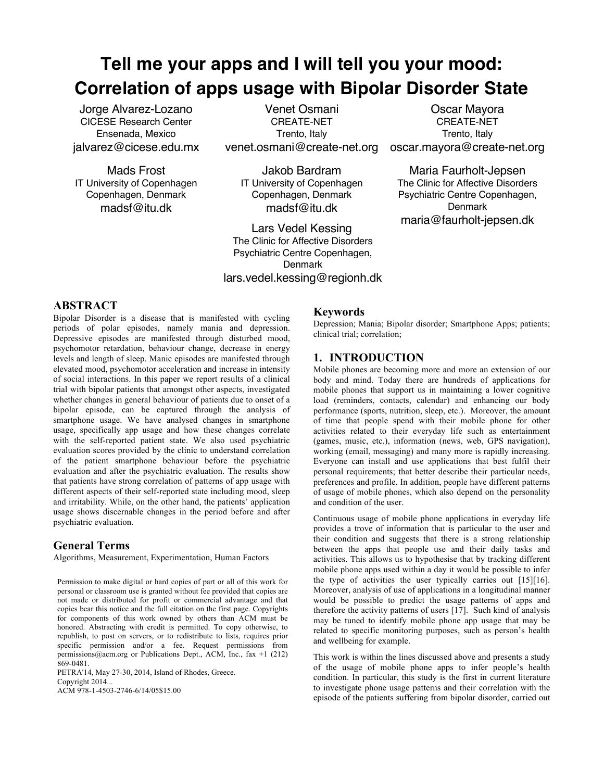# **Tell me your apps and I will tell you your mood: Correlation of apps usage with Bipolar Disorder State**

Jorge Alvarez-Lozano CICESE Research Center Ensenada, Mexico jalvarez@cicese.edu.mx

Mads Frost IT University of Copenhagen Copenhagen, Denmark madsf@itu.dk

Venet Osmani CREATE-NET Trento, Italy

Jakob Bardram IT University of Copenhagen Copenhagen, Denmark madsf@itu.dk

Lars Vedel Kessing The Clinic for Affective Disorders Psychiatric Centre Copenhagen, Denmark lars.vedel.kessing@regionh.dk

venet.osmani@create-net.org oscar.mayora@create-net.org Oscar Mayora CREATE-NET Trento, Italy

> Maria Faurholt-Jepsen The Clinic for Affective Disorders Psychiatric Centre Copenhagen, **Denmark** maria@faurholt-jepsen.dk

## **ABSTRACT**

Bipolar Disorder is a disease that is manifested with cycling periods of polar episodes, namely mania and depression. Depressive episodes are manifested through disturbed mood, psychomotor retardation, behaviour change, decrease in energy levels and length of sleep. Manic episodes are manifested through elevated mood, psychomotor acceleration and increase in intensity of social interactions. In this paper we report results of a clinical trial with bipolar patients that amongst other aspects, investigated whether changes in general behaviour of patients due to onset of a bipolar episode, can be captured through the analysis of smartphone usage. We have analysed changes in smartphone usage, specifically app usage and how these changes correlate with the self-reported patient state. We also used psychiatric evaluation scores provided by the clinic to understand correlation of the patient smartphone behaviour before the psychiatric evaluation and after the psychiatric evaluation. The results show that patients have strong correlation of patterns of app usage with different aspects of their self-reported state including mood, sleep and irritability. While, on the other hand, the patients' application usage shows discernable changes in the period before and after psychiatric evaluation.

## **General Terms**

Algorithms, Measurement, Experimentation, Human Factors

Permission to make digital or hard copies of part or all of this work for personal or classroom use is granted without fee provided that copies are not made or distributed for profit or commercial advantage and that copies bear this notice and the full citation on the first page. Copyrights for components of this work owned by others than ACM must be honored. Abstracting with credit is permitted. To copy otherwise, to republish, to post on servers, or to redistribute to lists, requires prior specific permission and/or a fee. Request permissions from permissions@acm.org or Publications Dept., ACM, Inc., fax +1 (212) 869-0481.

PETRA'14, May 27-30, 2014, Island of Rhodes, Greece. Copyright 2014... ACM 978-1-4503-2746-6/14/05\$15.00

#### **Keywords**

Depression; Mania; Bipolar disorder; Smartphone Apps; patients; clinical trial; correlation;

# **1. INTRODUCTION**

Mobile phones are becoming more and more an extension of our body and mind. Today there are hundreds of applications for mobile phones that support us in maintaining a lower cognitive load (reminders, contacts, calendar) and enhancing our body performance (sports, nutrition, sleep, etc.). Moreover, the amount of time that people spend with their mobile phone for other activities related to their everyday life such as entertainment (games, music, etc.), information (news, web, GPS navigation), working (email, messaging) and many more is rapidly increasing. Everyone can install and use applications that best fulfil their personal requirements; that better describe their particular needs, preferences and profile. In addition, people have different patterns of usage of mobile phones, which also depend on the personality and condition of the user.

Continuous usage of mobile phone applications in everyday life provides a trove of information that is particular to the user and their condition and suggests that there is a strong relationship between the apps that people use and their daily tasks and activities. This allows us to hypothesise that by tracking different mobile phone apps used within a day it would be possible to infer the type of activities the user typically carries out [15][16]. Moreover, analysis of use of applications in a longitudinal manner would be possible to predict the usage patterns of apps and therefore the activity patterns of users [17]. Such kind of analysis may be tuned to identify mobile phone app usage that may be related to specific monitoring purposes, such as person's health and wellbeing for example.

This work is within the lines discussed above and presents a study of the usage of mobile phone apps to infer people's health condition. In particular, this study is the first in current literature to investigate phone usage patterns and their correlation with the episode of the patients suffering from bipolar disorder, carried out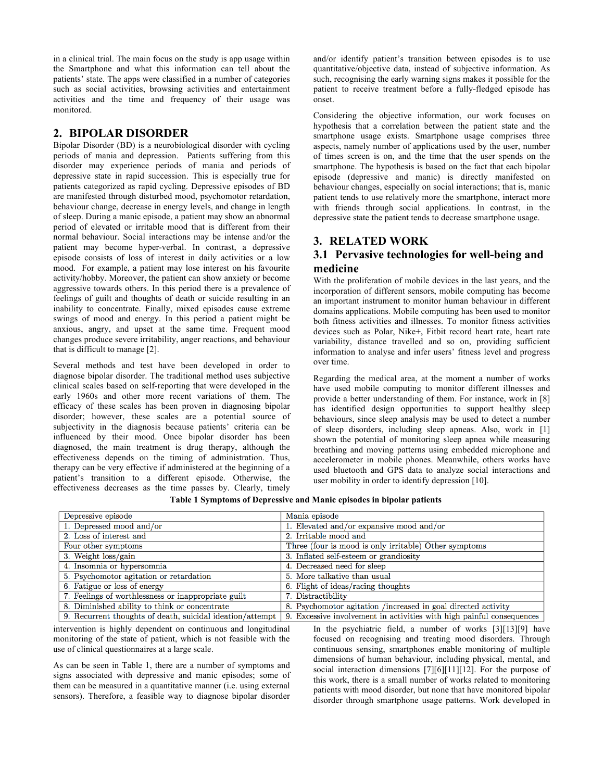in a clinical trial. The main focus on the study is app usage within the Smartphone and what this information can tell about the patients' state. The apps were classified in a number of categories such as social activities, browsing activities and entertainment activities and the time and frequency of their usage was monitored.

## **2. BIPOLAR DISORDER**

Bipolar Disorder (BD) is a neurobiological disorder with cycling periods of mania and depression. Patients suffering from this disorder may experience periods of mania and periods of depressive state in rapid succession. This is especially true for patients categorized as rapid cycling. Depressive episodes of BD are manifested through disturbed mood, psychomotor retardation, behaviour change, decrease in energy levels, and change in length of sleep. During a manic episode, a patient may show an abnormal period of elevated or irritable mood that is different from their normal behaviour. Social interactions may be intense and/or the patient may become hyper-verbal. In contrast, a depressive episode consists of loss of interest in daily activities or a low mood. For example, a patient may lose interest on his favourite activity/hobby. Moreover, the patient can show anxiety or become aggressive towards others. In this period there is a prevalence of feelings of guilt and thoughts of death or suicide resulting in an inability to concentrate. Finally, mixed episodes cause extreme swings of mood and energy. In this period a patient might be anxious, angry, and upset at the same time. Frequent mood changes produce severe irritability, anger reactions, and behaviour that is difficult to manage [2].

Several methods and test have been developed in order to diagnose bipolar disorder. The traditional method uses subjective clinical scales based on self-reporting that were developed in the early 1960s and other more recent variations of them. The efficacy of these scales has been proven in diagnosing bipolar disorder; however, these scales are a potential source of subjectivity in the diagnosis because patients' criteria can be influenced by their mood. Once bipolar disorder has been diagnosed, the main treatment is drug therapy, although the effectiveness depends on the timing of administration. Thus, therapy can be very effective if administered at the beginning of a patient's transition to a different episode. Otherwise, the effectiveness decreases as the time passes by. Clearly, timely and/or identify patient's transition between episodes is to use quantitative/objective data, instead of subjective information. As such, recognising the early warning signs makes it possible for the patient to receive treatment before a fully-fledged episode has onset.

Considering the objective information, our work focuses on hypothesis that a correlation between the patient state and the smartphone usage exists. Smartphone usage comprises three aspects, namely number of applications used by the user, number of times screen is on, and the time that the user spends on the smartphone. The hypothesis is based on the fact that each bipolar episode (depressive and manic) is directly manifested on behaviour changes, especially on social interactions; that is, manic patient tends to use relatively more the smartphone, interact more with friends through social applications. In contrast, in the depressive state the patient tends to decrease smartphone usage.

# **3. RELATED WORK**

## **3.1 Pervasive technologies for well-being and medicine**

With the proliferation of mobile devices in the last years, and the incorporation of different sensors, mobile computing has become an important instrument to monitor human behaviour in different domains applications. Mobile computing has been used to monitor both fitness activities and illnesses. To monitor fitness activities devices such as Polar, Nike+, Fitbit record heart rate, heart rate variability, distance travelled and so on, providing sufficient information to analyse and infer users' fitness level and progress over time.

Regarding the medical area, at the moment a number of works have used mobile computing to monitor different illnesses and provide a better understanding of them. For instance, work in [8] has identified design opportunities to support healthy sleep behaviours, since sleep analysis may be used to detect a number of sleep disorders, including sleep apneas. Also, work in [1] shown the potential of monitoring sleep apnea while measuring breathing and moving patterns using embedded microphone and accelerometer in mobile phones. Meanwhile, others works have used bluetooth and GPS data to analyze social interactions and user mobility in order to identify depression [10].

**Table 1 Symptoms of Depressive and Manic episodes in bipolar patients**

| Depressive episode                                        | Mania episode                                                         |
|-----------------------------------------------------------|-----------------------------------------------------------------------|
| 1. Depressed mood and/or                                  | 1. Elevated and/or expansive mood and/or                              |
| 2. Loss of interest and                                   | 2. Irritable mood and                                                 |
| Four other symptoms                                       | Three (four is mood is only irritable) Other symptoms                 |
| 3. Weight loss/gain                                       | 3. Inflated self-esteem or grandiosity                                |
| 4. Insomnia or hypersomnia                                | 4. Decreased need for sleep                                           |
| 5. Psychomotor agitation or retardation                   | 5. More talkative than usual                                          |
| 6. Fatigue or loss of energy                              | 6. Flight of ideas/racing thoughts                                    |
| 7. Feelings of worthlessness or inappropriate guilt       | 7. Distractibility                                                    |
| 8. Diminished ability to think or concentrate             | 8. Psychomotor agitation /increased in goal directed activity         |
| 9. Recurrent thoughts of death, suicidal ideation/attempt | 9. Excessive involvement in activities with high painful consequences |

intervention is highly dependent on continuous and longitudinal monitoring of the state of patient, which is not feasible with the use of clinical questionnaires at a large scale.

As can be seen in Table 1, there are a number of symptoms and signs associated with depressive and manic episodes; some of them can be measured in a quantitative manner (i.e. using external sensors). Therefore, a feasible way to diagnose bipolar disorder

In the psychiatric field, a number of works [3][13][9] have focused on recognising and treating mood disorders. Through continuous sensing, smartphones enable monitoring of multiple dimensions of human behaviour, including physical, mental, and social interaction dimensions [7][6][11][12]. For the purpose of this work, there is a small number of works related to monitoring patients with mood disorder, but none that have monitored bipolar disorder through smartphone usage patterns. Work developed in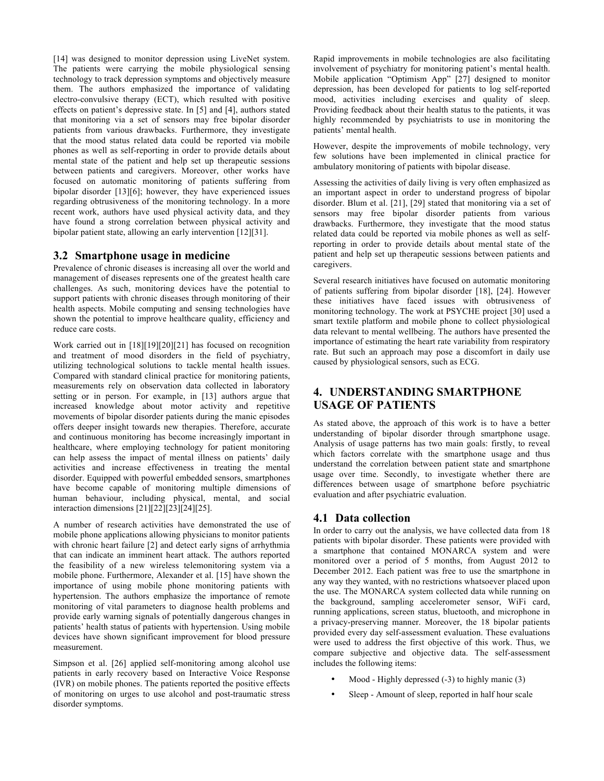[14] was designed to monitor depression using LiveNet system. The patients were carrying the mobile physiological sensing technology to track depression symptoms and objectively measure them. The authors emphasized the importance of validating electro-convulsive therapy (ECT), which resulted with positive effects on patient's depressive state. In [5] and [4], authors stated that monitoring via a set of sensors may free bipolar disorder patients from various drawbacks. Furthermore, they investigate that the mood status related data could be reported via mobile phones as well as self-reporting in order to provide details about mental state of the patient and help set up therapeutic sessions between patients and caregivers. Moreover, other works have focused on automatic monitoring of patients suffering from bipolar disorder [13][6]; however, they have experienced issues regarding obtrusiveness of the monitoring technology. In a more recent work, authors have used physical activity data, and they have found a strong correlation between physical activity and bipolar patient state, allowing an early intervention [12][31].

## **3.2 Smartphone usage in medicine**

Prevalence of chronic diseases is increasing all over the world and management of diseases represents one of the greatest health care challenges. As such, monitoring devices have the potential to support patients with chronic diseases through monitoring of their health aspects. Mobile computing and sensing technologies have shown the potential to improve healthcare quality, efficiency and reduce care costs.

Work carried out in [18][19][20][21] has focused on recognition and treatment of mood disorders in the field of psychiatry, utilizing technological solutions to tackle mental health issues. Compared with standard clinical practice for monitoring patients, measurements rely on observation data collected in laboratory setting or in person. For example, in [13] authors argue that increased knowledge about motor activity and repetitive movements of bipolar disorder patients during the manic episodes offers deeper insight towards new therapies. Therefore, accurate and continuous monitoring has become increasingly important in healthcare, where employing technology for patient monitoring can help assess the impact of mental illness on patients' daily activities and increase effectiveness in treating the mental disorder. Equipped with powerful embedded sensors, smartphones have become capable of monitoring multiple dimensions of human behaviour, including physical, mental, and social interaction dimensions [21][22][23][24][25].

A number of research activities have demonstrated the use of mobile phone applications allowing physicians to monitor patients with chronic heart failure [2] and detect early signs of arrhythmia that can indicate an imminent heart attack. The authors reported the feasibility of a new wireless telemonitoring system via a mobile phone. Furthermore, Alexander et al. [15] have shown the importance of using mobile phone monitoring patients with hypertension. The authors emphasize the importance of remote monitoring of vital parameters to diagnose health problems and provide early warning signals of potentially dangerous changes in patients' health status of patients with hypertension. Using mobile devices have shown significant improvement for blood pressure measurement.

Simpson et al. [26] applied self-monitoring among alcohol use patients in early recovery based on Interactive Voice Response (IVR) on mobile phones. The patients reported the positive effects of monitoring on urges to use alcohol and post-traumatic stress disorder symptoms.

Rapid improvements in mobile technologies are also facilitating involvement of psychiatry for monitoring patient's mental health. Mobile application "Optimism App" [27] designed to monitor depression, has been developed for patients to log self-reported mood, activities including exercises and quality of sleep. Providing feedback about their health status to the patients, it was highly recommended by psychiatrists to use in monitoring the patients' mental health.

However, despite the improvements of mobile technology, very few solutions have been implemented in clinical practice for ambulatory monitoring of patients with bipolar disease.

Assessing the activities of daily living is very often emphasized as an important aspect in order to understand progress of bipolar disorder. Blum et al. [21], [29] stated that monitoring via a set of sensors may free bipolar disorder patients from various drawbacks. Furthermore, they investigate that the mood status related data could be reported via mobile phones as well as selfreporting in order to provide details about mental state of the patient and help set up therapeutic sessions between patients and caregivers.

Several research initiatives have focused on automatic monitoring of patients suffering from bipolar disorder [18], [24]. However these initiatives have faced issues with obtrusiveness of monitoring technology. The work at PSYCHE project [30] used a smart textile platform and mobile phone to collect physiological data relevant to mental wellbeing. The authors have presented the importance of estimating the heart rate variability from respiratory rate. But such an approach may pose a discomfort in daily use caused by physiological sensors, such as ECG.

# **4. UNDERSTANDING SMARTPHONE USAGE OF PATIENTS**

As stated above, the approach of this work is to have a better understanding of bipolar disorder through smartphone usage. Analysis of usage patterns has two main goals: firstly, to reveal which factors correlate with the smartphone usage and thus understand the correlation between patient state and smartphone usage over time. Secondly, to investigate whether there are differences between usage of smartphone before psychiatric evaluation and after psychiatric evaluation.

# **4.1 Data collection**

In order to carry out the analysis, we have collected data from 18 patients with bipolar disorder. These patients were provided with a smartphone that contained MONARCA system and were monitored over a period of 5 months, from August 2012 to December 2012. Each patient was free to use the smartphone in any way they wanted, with no restrictions whatsoever placed upon the use. The MONARCA system collected data while running on the background, sampling accelerometer sensor, WiFi card, running applications, screen status, bluetooth, and microphone in a privacy-preserving manner. Moreover, the 18 bipolar patients provided every day self-assessment evaluation. These evaluations were used to address the first objective of this work. Thus, we compare subjective and objective data. The self-assessment includes the following items:

- Mood Highly depressed  $(-3)$  to highly manic  $(3)$
- Sleep Amount of sleep, reported in half hour scale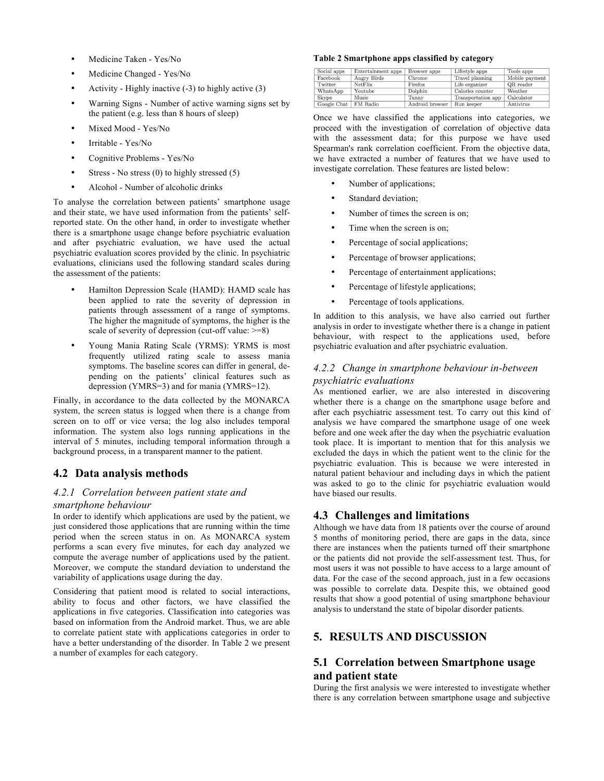- Medicine Taken Yes/No
- Medicine Changed Yes/No
- Activity Highly inactive (-3) to highly active (3)
- Warning Signs Number of active warning signs set by the patient (e.g. less than 8 hours of sleep)
- Mixed Mood Yes/No
- Irritable Yes/No
- Cognitive Problems Yes/No
- Stress No stress  $(0)$  to highly stressed  $(5)$
- Alcohol Number of alcoholic drinks

To analyse the correlation between patients' smartphone usage and their state, we have used information from the patients' selfreported state. On the other hand, in order to investigate whether there is a smartphone usage change before psychiatric evaluation and after psychiatric evaluation, we have used the actual psychiatric evaluation scores provided by the clinic. In psychiatric evaluations, clinicians used the following standard scales during the assessment of the patients:

- Hamilton Depression Scale (HAMD): HAMD scale has been applied to rate the severity of depression in patients through assessment of a range of symptoms. The higher the magnitude of symptoms, the higher is the scale of severity of depression (cut-off value:  $>= 8$ )
- Young Mania Rating Scale (YRMS): YRMS is most frequently utilized rating scale to assess mania symptoms. The baseline scores can differ in general, depending on the patients' clinical features such as depression (YMRS=3) and for mania (YMRS=12).

Finally, in accordance to the data collected by the MONARCA system, the screen status is logged when there is a change from screen on to off or vice versa; the log also includes temporal information. The system also logs running applications in the interval of 5 minutes, including temporal information through a background process, in a transparent manner to the patient.

# **4.2 Data analysis methods**

#### *4.2.1 Correlation between patient state and*

#### *smartphone behaviour*

In order to identify which applications are used by the patient, we just considered those applications that are running within the time period when the screen status in on. As MONARCA system performs a scan every five minutes, for each day analyzed we compute the average number of applications used by the patient. Moreover, we compute the standard deviation to understand the variability of applications usage during the day.

Considering that patient mood is related to social interactions, ability to focus and other factors, we have classified the applications in five categories. Classification into categories was based on information from the Android market. Thus, we are able to correlate patient state with applications categories in order to have a better understanding of the disorder. In Table 2 we present a number of examples for each category.

#### **Table 2 Smartphone apps classified by category**

| Social apps  | Entertainment apps | Browser apps    | Lifestyle apps     | Tools apps     |
|--------------|--------------------|-----------------|--------------------|----------------|
| Facebook     | Angry Birds        | Chrome          | Travel planning    | Mobile payment |
| Twitter      | <b>NetFlix</b>     | Firefox         | Life organizer     | QR reader      |
| WhatsApp     | Youtube            | Dolphin         | Calories counter   | Weather        |
| <b>Skype</b> | <b>Music</b>       | Tunny           | Transportation app | Calculator     |
| Google Chat  | FM Radio           | Android browser | Run keeper         | Antivirus      |

Once we have classified the applications into categories, we proceed with the investigation of correlation of objective data with the assessment data; for this purpose we have used Spearman's rank correlation coefficient. From the objective data, we have extracted a number of features that we have used to investigate correlation. These features are listed below:

- Number of applications;
- Standard deviation:
- Number of times the screen is on;
- Time when the screen is on;
- Percentage of social applications;
- Percentage of browser applications;
- Percentage of entertainment applications;
- Percentage of lifestyle applications;
- Percentage of tools applications.

In addition to this analysis, we have also carried out further analysis in order to investigate whether there is a change in patient behaviour, with respect to the applications used, before psychiatric evaluation and after psychiatric evaluation.

## *4.2.2 Change in smartphone behaviour in-between psychiatric evaluations*

As mentioned earlier, we are also interested in discovering whether there is a change on the smartphone usage before and after each psychiatric assessment test. To carry out this kind of analysis we have compared the smartphone usage of one week before and one week after the day when the psychiatric evaluation took place. It is important to mention that for this analysis we excluded the days in which the patient went to the clinic for the psychiatric evaluation. This is because we were interested in natural patient behaviour and including days in which the patient was asked to go to the clinic for psychiatric evaluation would have biased our results.

# **4.3 Challenges and limitations**

Although we have data from 18 patients over the course of around 5 months of monitoring period, there are gaps in the data, since there are instances when the patients turned off their smartphone or the patients did not provide the self-assessment test. Thus, for most users it was not possible to have access to a large amount of data. For the case of the second approach, just in a few occasions was possible to correlate data. Despite this, we obtained good results that show a good potential of using smartphone behaviour analysis to understand the state of bipolar disorder patients.

# **5. RESULTS AND DISCUSSION**

# **5.1 Correlation between Smartphone usage and patient state**

During the first analysis we were interested to investigate whether there is any correlation between smartphone usage and subjective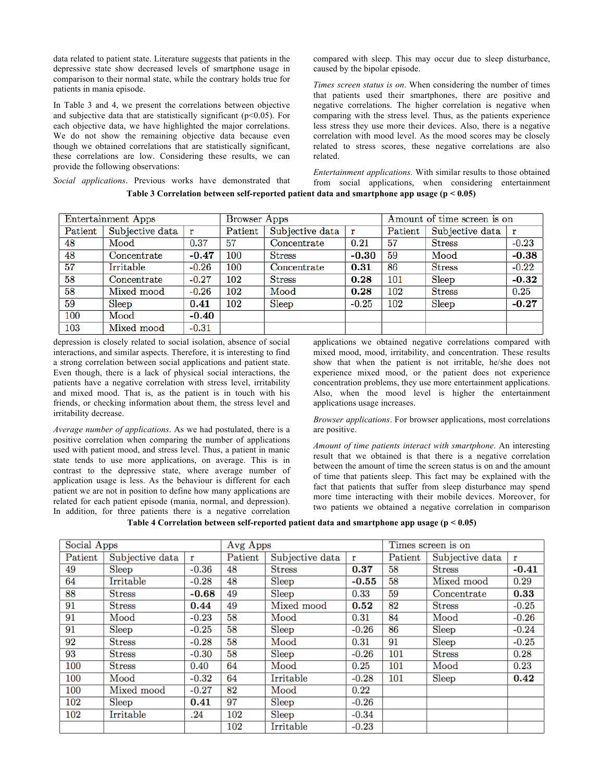data related to patient state. Literature suggests that patients in the depressive state show decreased levels of smartphone usage in comparison to their normal state, while the contrary holds true for patients in mania episode.

In Table 3 and 4, we present the correlations between objective and subjective data that are statistically significant ( $p$ <0.05). For each objective data, we have highlighted the major correlations. We do not show the remaining objective data because even though we obtained correlations that are statistically significant, these correlations are low. Considering these results, we can provide the following observations:

*Social applications*. Previous works have demonstrated that

compared with sleep. This may occur due to sleep disturbance, caused by the bipolar episode.

*Times screen status is on*. When considering the number of times that patients used their smartphones, there are positive and negative correlations. The higher correlation is negative when comparing with the stress level. Thus, as the patients experience less stress they use more their devices. Also, there is a negative correlation with mood level. As the mood scores may be closely related to stress scores, these negative correlations are also related.

*Entertainment applications.* With similar results to those obtained from social applications, when considering entertainment **Table 3 Correlation between self-reported patient data and smartphone app usage (p < 0.05)**

|         | Entertainment Apps |              | Browser Apps |                 | Amount of time screen is on |         |                 |         |
|---------|--------------------|--------------|--------------|-----------------|-----------------------------|---------|-----------------|---------|
| Patient | Subjective data    | $\mathbf{r}$ | Patient      | Subjective data | $\mathbf{r}$                | Patient | Subjective data |         |
| 48      | Mood               | 0.37         | 57           | Concentrate     | 0.21                        | 57      | <b>Stress</b>   | $-0.23$ |
| 48      | Concentrate        | $-0.47$      | 100          | <b>Stress</b>   | $-0.30$                     | 59      | Mood            | $-0.38$ |
| 57      | Irritable          | $-0.26$      | 100          | Concentrate     | 0.31                        | 86      | <b>Stress</b>   | $-0.22$ |
| 58      | Concentrate        | $-0.27$      | 102          | <b>Stress</b>   | 0.28                        | 101     | Sleep           | $-0.32$ |
| 58      | Mixed mood         | $-0.26$      | 102          | Mood            | 0.28                        | 102     | <b>Stress</b>   | 0.25    |
| 59      | Sleep              | 0.41         | 102          | Sleep           | $-0.25$                     | 102     | Sleep           | $-0.27$ |
| 100     | Mood               | $-0.40$      |              |                 |                             |         |                 |         |
| 103     | Mixed mood         | $-0.31$      |              |                 |                             |         |                 |         |

depression is closely related to social isolation, absence of social interactions, and similar aspects. Therefore, it is interesting to find a strong correlation between social applications and patient state. Even though, there is a lack of physical social interactions, the patients have a negative correlation with stress level, irritability and mixed mood. That is, as the patient is in touch with his friends, or checking information about them, the stress level and irritability decrease.

*Average number of applications*. As we had postulated, there is a positive correlation when comparing the number of applications used with patient mood, and stress level. Thus, a patient in manic state tends to use more applications, on average. This is in contrast to the depressive state, where average number of application usage is less. As the behaviour is different for each patient we are not in position to define how many applications are related for each patient episode (mania, normal, and depression). In addition, for three patients there is a negative correlation

applications we obtained negative correlations compared with mixed mood, mood, irritability, and concentration. These results show that when the patient is not irritable, he/she does not experience mixed mood, or the patient does not experience concentration problems, they use more entertainment applications. Also, when the mood level is higher the entertainment applications usage increases.

*Browser applications*. For browser applications, most correlations are positive.

*Amount of time patients interact with smartphone*. An interesting result that we obtained is that there is a negative correlation between the amount of time the screen status is on and the amount of time that patients sleep. This fact may be explained with the fact that patients that suffer from sleep disturbance may spend more time interacting with their mobile devices. Moreover, for two patients we obtained a negative correlation in comparison

| Table 4 Correlation between self-reported patient data and smartphone app usage (p $< 0.05$ ) |  |  |  |  |  |  |  |  |
|-----------------------------------------------------------------------------------------------|--|--|--|--|--|--|--|--|
|-----------------------------------------------------------------------------------------------|--|--|--|--|--|--|--|--|

| Social Apps |                 |         | Avg Apps |                 |         |         | Times screen is on |         |
|-------------|-----------------|---------|----------|-----------------|---------|---------|--------------------|---------|
| Patient     | Subjective data | r       | Patient  | Subjective data | r       | Patient | Subjective data    | r       |
| 49          | Sleep           | $-0.36$ | 48       | <b>Stress</b>   | 0.37    | 58      | <b>Stress</b>      | $-0.41$ |
| 64          | Irritable       | $-0.28$ | 48       | Sleep           | $-0.55$ | 58      | Mixed mood         | 0.29    |
| 88          | <b>Stress</b>   | $-0.68$ | 49       | Sleep           | 0.33    | 59      | Concentrate        | 0.33    |
| 91          | <b>Stress</b>   | 0.44    | 49       | Mixed mood      | 0.52    | 82      | <b>Stress</b>      | $-0.25$ |
| 91          | Mood            | $-0.23$ | 58       | Mood            | 0.31    | 84      | Mood               | $-0.26$ |
| 91          | Sleep           | $-0.25$ | 58       | Sleep           | $-0.26$ | 86      | Sleep              | $-0.24$ |
| 92          | <b>Stress</b>   | $-0.28$ | 58       | Mood            | 0.31    | 91      | Sleep              | $-0.25$ |
| 93          | <b>Stress</b>   | $-0.30$ | 58       | Sleep           | $-0.26$ | 101     | <b>Stress</b>      | 0.28    |
| 100         | <b>Stress</b>   | 0.40    | 64       | Mood            | 0.25    | 101     | Mood               | 0.23    |
| 100         | Mood            | $-0.32$ | 64       | Irritable       | $-0.28$ | 101     | Sleep              | 0.42    |
| 100         | Mixed mood      | $-0.27$ | 82       | Mood            | 0.22    |         |                    |         |
| 102         | Sleep           | 0.41    | 97       | Sleep           | $-0.26$ |         |                    |         |
| 102         | Irritable       | .24     | 102      | Sleep           | $-0.34$ |         |                    |         |
|             |                 |         | 102      | Irritable       | $-0.23$ |         |                    |         |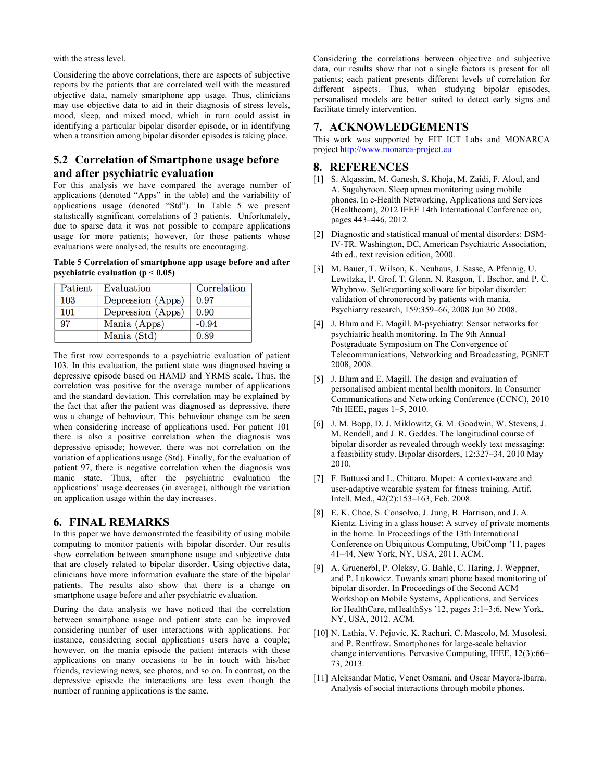with the stress level.

Considering the above correlations, there are aspects of subjective reports by the patients that are correlated well with the measured objective data, namely smartphone app usage. Thus, clinicians may use objective data to aid in their diagnosis of stress levels, mood, sleep, and mixed mood, which in turn could assist in identifying a particular bipolar disorder episode, or in identifying when a transition among bipolar disorder episodes is taking place.

# **5.2 Correlation of Smartphone usage before and after psychiatric evaluation**

For this analysis we have compared the average number of applications (denoted "Apps" in the table) and the variability of applications usage (denoted "Std"). In Table 5 we present statistically significant correlations of 3 patients. Unfortunately, due to sparse data it was not possible to compare applications usage for more patients; however, for those patients whose evaluations were analysed, the results are encouraging.

**Table 5 Correlation of smartphone app usage before and after psychiatric evaluation (p < 0.05)**

| Patient | Evaluation                       | Correlation |
|---------|----------------------------------|-------------|
| 103     | Depression (Apps)                | 0.97        |
| 101     | Depression (Apps)                | 0.90        |
| 97      | $\overline{\text{Mania}}$ (Apps) | $-0.94$     |
|         | Mania $(\overline{Std})$         | 0.89        |

The first row corresponds to a psychiatric evaluation of patient 103. In this evaluation, the patient state was diagnosed having a depressive episode based on HAMD and YRMS scale. Thus, the correlation was positive for the average number of applications and the standard deviation. This correlation may be explained by the fact that after the patient was diagnosed as depressive, there was a change of behaviour. This behaviour change can be seen when considering increase of applications used. For patient 101 there is also a positive correlation when the diagnosis was depressive episode; however, there was not correlation on the variation of applications usage (Std). Finally, for the evaluation of patient 97, there is negative correlation when the diagnosis was manic state. Thus, after the psychiatric evaluation the applications' usage decreases (in average), although the variation on application usage within the day increases.

## **6. FINAL REMARKS**

In this paper we have demonstrated the feasibility of using mobile computing to monitor patients with bipolar disorder. Our results show correlation between smartphone usage and subjective data that are closely related to bipolar disorder. Using objective data, clinicians have more information evaluate the state of the bipolar patients. The results also show that there is a change on smartphone usage before and after psychiatric evaluation.

During the data analysis we have noticed that the correlation between smartphone usage and patient state can be improved considering number of user interactions with applications. For instance, considering social applications users have a couple; however, on the mania episode the patient interacts with these applications on many occasions to be in touch with his/her friends, reviewing news, see photos, and so on. In contrast, on the depressive episode the interactions are less even though the number of running applications is the same.

Considering the correlations between objective and subjective data, our results show that not a single factors is present for all patients; each patient presents different levels of correlation for different aspects. Thus, when studying bipolar episodes, personalised models are better suited to detect early signs and facilitate timely intervention.

# **7. ACKNOWLEDGEMENTS**

This work was supported by EIT ICT Labs and MONARCA project http://www.monarca-project.eu

## **8. REFERENCES**

- [1] S. Alqassim, M. Ganesh, S. Khoja, M. Zaidi, F. Aloul, and A. Sagahyroon. Sleep apnea monitoring using mobile phones. In e-Health Networking, Applications and Services (Healthcom), 2012 IEEE 14th International Conference on, pages 443–446, 2012.
- [2] Diagnostic and statistical manual of mental disorders: DSM-IV-TR. Washington, DC, American Psychiatric Association, 4th ed., text revision edition, 2000.
- [3] M. Bauer, T. Wilson, K. Neuhaus, J. Sasse, A.Pfennig, U. Lewitzka, P. Grof, T. Glenn, N. Rasgon, T. Bschor, and P. C. Whybrow. Self-reporting software for bipolar disorder: validation of chronorecord by patients with mania. Psychiatry research, 159:359–66, 2008 Jun 30 2008.
- [4] J. Blum and E. Magill. M-psychiatry: Sensor networks for psychiatric health monitoring. In The 9th Annual Postgraduate Symposium on The Convergence of Telecommunications, Networking and Broadcasting, PGNET 2008, 2008.
- [5] J. Blum and E. Magill. The design and evaluation of personalised ambient mental health monitors. In Consumer Communications and Networking Conference (CCNC), 2010 7th IEEE, pages 1–5, 2010.
- [6] J. M. Bopp, D. J. Miklowitz, G. M. Goodwin, W. Stevens, J. M. Rendell, and J. R. Geddes. The longitudinal course of bipolar disorder as revealed through weekly text messaging: a feasibility study. Bipolar disorders, 12:327–34, 2010 May 2010.
- [7] F. Buttussi and L. Chittaro. Mopet: A context-aware and user-adaptive wearable system for fitness training. Artif. Intell. Med., 42(2):153–163, Feb. 2008.
- [8] E. K. Choe, S. Consolvo, J. Jung, B. Harrison, and J. A. Kientz. Living in a glass house: A survey of private moments in the home. In Proceedings of the 13th International Conference on Ubiquitous Computing, UbiComp '11, pages 41–44, New York, NY, USA, 2011. ACM.
- [9] A. Gruenerbl, P. Oleksy, G. Bahle, C. Haring, J. Weppner, and P. Lukowicz. Towards smart phone based monitoring of bipolar disorder. In Proceedings of the Second ACM Workshop on Mobile Systems, Applications, and Services for HealthCare, mHealthSys '12, pages 3:1–3:6, New York, NY, USA, 2012. ACM.
- [10] N. Lathia, V. Pejovic, K. Rachuri, C. Mascolo, M. Musolesi, and P. Rentfrow. Smartphones for large-scale behavior change interventions. Pervasive Computing, IEEE, 12(3):66– 73, 2013.
- [11] Aleksandar Matic, Venet Osmani, and Oscar Mayora-Ibarra. Analysis of social interactions through mobile phones.